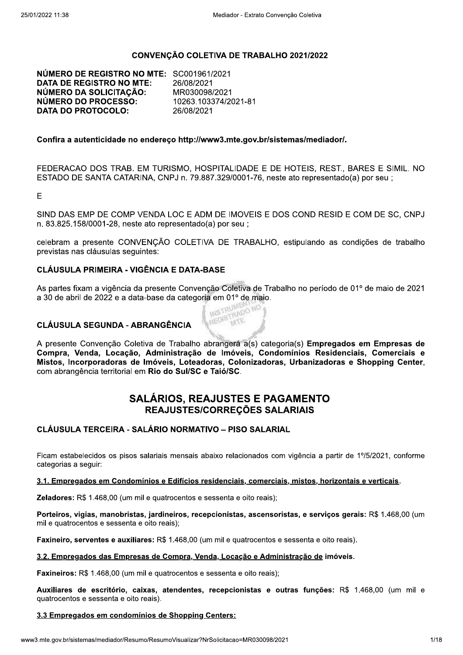### CONVENÇÃO COLETIVA DE TRABALHO 2021/2022

NÚMERO DE REGISTRO NO MTE: SC001961/2021 **DATA DE REGISTRO NO MTE:** 26/08/2021 NÚMERO DA SOLICITAÇÃO: MR030098/2021 NÚMERO DO PROCESSO: 10263.103374/2021-81 **DATA DO PROTOCOLO:** 26/08/2021

#### Confira a autenticidade no endereco http://www3.mte.gov.br/sistemas/mediador/.

FEDERACAO DOS TRAB. EM TURISMO, HOSPITALIDADE E DE HOTEIS, REST., BARES E SIMIL, NO ESTADO DE SANTA CATARINA, CNPJ n. 79.887.329/0001-76, neste ato representado(a) por seu ;

E

SIND DAS EMP DE COMP VENDA LOC E ADM DE IMOVEIS E DOS COND RESID E COM DE SC. CNPJ n. 83.825.158/0001-28, neste ato representado(a) por seu;

celebram a presente CONVENÇÃO COLETIVA DE TRABALHO, estipulando as condições de trabalho previstas nas cláusulas seguintes:

### **CLÁUSULA PRIMEIRA - VIGÊNCIA E DATA-BASE**

As partes fixam a vigência da presente Convenção Coletiva de Trabalho no período de 01º de maio de 2021 a 30 de abril de 2022 e a data-base da categoria em 01º de maio. REGISTRADO NO

### **CLÁUSULA SEGUNDA - ABRANGÊNCIA**

A presente Convenção Coletiva de Trabalho abrangerá a(s) categoria(s) Empregados em Empresas de Compra, Venda, Locação, Administração de Imóveis, Condomínios Residenciais, Comerciais e Mistos, Incorporadoras de Imóveis, Loteadoras, Colonizadoras, Urbanizadoras e Shopping Center, com abrangência territorial em Rio do Sul/SC e Taió/SC.

## **SALÁRIOS. REAJUSTES E PAGAMENTO** REAJUSTES/CORREÇÕES SALARIAIS

## **CLÁUSULA TERCEIRA - SALÁRIO NORMATIVO - PISO SALARIAL**

Ficam estabelecidos os pisos salariais mensais abaixo relacionados com vigência a partir de 1º/5/2021, conforme categorias a seguir:

#### 3.1. Empregados em Condomínios e Edifícios residenciais, comerciais, mistos, horizontais e verticais.

Zeladores: R\$ 1.468,00 (um mil e quatrocentos e sessenta e oito reais);

Porteiros, vigias, manobristas, jardineiros, recepcionistas, ascensoristas, e serviços gerais: R\$ 1.468,00 (um mil e quatrocentos e sessenta e oito reais);

Faxineiro, serventes e auxiliares: R\$ 1.468,00 (um mil e quatrocentos e sessenta e oito reais).

#### 3.2. Empregados das Empresas de Compra, Venda, Locação e Administração de imóveis.

Faxineiros: R\$ 1.468,00 (um mil e quatrocentos e sessenta e oito reais);

Auxiliares de escritório, caixas, atendentes, recepcionistas e outras funções: R\$ 1.468,00 (um mil e quatrocentos e sessenta e oito reais).

#### 3.3 Empregados em condomínios de Shopping Centers: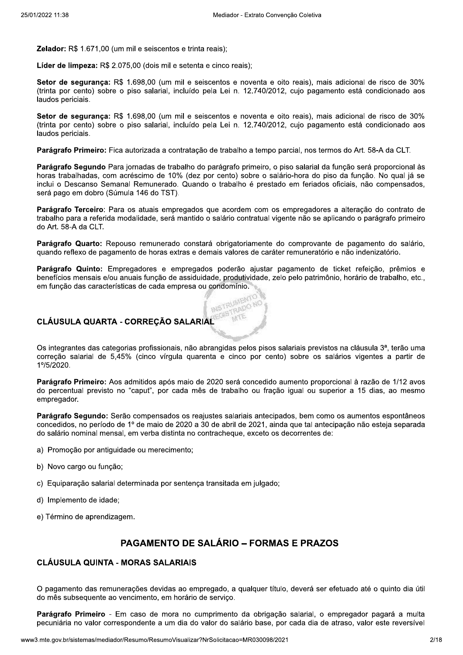**Zelador:** R\$ 1.671.00 (um mil e seiscentos e trinta reais):

Líder de limpeza: R\$ 2.075.00 (dois mil e setenta e cinco reais):

Setor de segurança: R\$ 1.698,00 (um mil e seiscentos e noventa e oito reais), mais adicional de risco de 30% (trinta por cento) sobre o piso salarial, incluído pela Lei n. 12.740/2012, cujo pagamento está condicionado aos laudos periciais.

Setor de sequrança: R\$ 1.698,00 (um mil e seiscentos e noventa e oito reais), mais adicional de risco de 30% (trinta por cento) sobre o piso salarial, incluído pela Lei n. 12.740/2012, cujo pagamento está condicionado aos laudos periciais.

Parágrafo Primeiro: Fica autorizada a contratação de trabalho a tempo parcial, nos termos do Art. 58-A da CLT.

Parágrafo Segundo Para jornadas de trabalho do parágrafo primeiro, o piso salarial da função será proporcional às horas trabalhadas, com acréscimo de 10% (dez por cento) sobre o salário-hora do piso da função. No qual já se inclui o Descanso Semanal Remunerado. Quando o trabalho é prestado em feriados oficiais, não compensados, será pago em dobro (Súmula 146 do TST).

Parágrafo Terceiro: Para os atuais empregados que acordem com os empregadores a alteração do contrato de trabalho para a referida modalidade, será mantido o salário contratual vigente não se aplicando o parágrafo primeiro do Art. 58-A da CLT.

Parágrafo Quarto: Repouso remunerado constará obrigatoriamente do comprovante de pagamento do salário, quando reflexo de pagamento de horas extras e demais valores de caráter remuneratório e não indenizatório.

Parágrafo Quinto: Empregadores e empregados poderão aiustar pagamento de ticket refeicão, prêmios e benefícios mensais e/ou anuais função de assiduidade, produtividade, zelo pelo patrimônio, horário de trabalho, etc., em função das características de cada empresa ou condomínio.

> **INSTRUMEN CARD**

#### CLÁUSULA QUARTA - CORREÇÃO SALARIAL

Os integrantes das categorias profissionais, não abrangidas pelos pisos salariais previstos na cláusula 3<sup>ª</sup>, terão uma correção salarial de 5,45% (cinco vírgula quarenta e cinco por cento) sobre os salários vigentes a partir de 1%5/2020.

Parágrafo Primeiro: Aos admitidos após maio de 2020 será concedido aumento proporcional à razão de 1/12 avos do percentual previsto no "caput", por cada mês de trabalho ou fração igual ou superior a 15 dias, ao mesmo empregador.

Parágrafo Segundo: Serão compensados os reajustes salariais antecipados, bem como os aumentos espontâneos concedidos, no período de 1º de maio de 2020 a 30 de abril de 2021, ainda que tal antecipação não esteja separada do salário nominal mensal, em verba distinta no contracheque, exceto os decorrentes de:

- a) Promoção por antiquidade ou merecimento;
- b) Novo cargo ou função;
- c) Equiparação salarial determinada por sentença transitada em julgado;
- d) Implemento de idade:
- e) Término de aprendizagem.

## **PAGAMENTO DE SALÁRIO – FORMAS E PRAZOS**

### **CLÁUSULA QUINTA - MORAS SALARIAIS**

O pagamento das remunerações devidas ao empregado, a qualquer título, deverá ser efetuado até o quinto dia útil do mês subsequente ao vencimento, em horário de serviço.

Parágrafo Primeiro - Em caso de mora no cumprimento da obrigação salarial, o empregador pagará a multa pecuniária no valor correspondente a um dia do valor do salário base, por cada dia de atraso, valor este reversível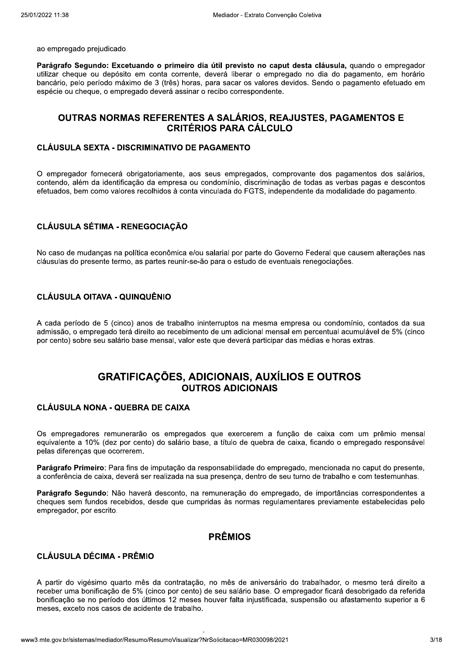ao empregado prejudicado.

Parágrafo Segundo: Excetuando o primeiro dia útil previsto no caput desta cláusula, quando o empregador utilizar cheque ou depósito em conta corrente, deverá liberar o empregado no dia do pagamento, em horário bancário, pelo período máximo de 3 (três) horas, para sacar os valores devidos. Sendo o pagamento efetuado em espécie ou cheque, o empregado deverá assinar o recibo correspondente.

## OUTRAS NORMAS REFERENTES A SALÁRIOS, REAJUSTES, PAGAMENTOS E **CRITÉRIOS PARA CÁLCULO**

#### **CLÁUSULA SEXTA - DISCRIMINATIVO DE PAGAMENTO**

O empregador fornecerá obrigatoriamente, aos seus empregados, comprovante dos pagamentos dos salários, contendo, além da identificação da empresa ou condomínio, discriminação de todas as verbas pagas e descontos efetuados, bem como valores recolhidos à conta vinculada do FGTS, independente da modalidade do pagamento.

#### **CLÁUSULA SÉTIMA - RENEGOCIAÇÃO**

No caso de mudanças na política econômica e/ou salarial por parte do Governo Federal que causem alterações nas cláusulas do presente termo, as partes reunir-se-ão para o estudo de eventuais renegociações.

#### **CLÁUSULA OITAVA - QUINQUÊNIO**

A cada período de 5 (cinco) anos de trabalho ininterruptos na mesma empresa ou condomínio, contados da sua admissão, o empregado terá direito ao recebimento de um adicional mensal em percentual acumulável de 5% (cinco por cento) sobre seu salário base mensal, valor este que deverá participar das médias e horas extras.

## **GRATIFICAÇÕES, ADICIONAIS, AUXÍLIOS E OUTROS OUTROS ADICIONAIS**

### **CLÁUSULA NONA - QUEBRA DE CAIXA**

Os empregadores remunerarão os empregados que exercerem a função de caixa com um prêmio mensal equivalente a 10% (dez por cento) do salário base, a título de quebra de caixa, ficando o empregado responsável pelas diferenças que ocorrerem.

Parágrafo Primeiro: Para fins de imputação da responsabilidade do empregado, mencionada no caput do presente, a conferência de caixa, deverá ser realizada na sua presença, dentro de seu turno de trabalho e com testemunhas.

Parágrafo Segundo: Não haverá desconto, na remuneração do empregado, de importâncias correspondentes a cheques sem fundos recebidos, desde que cumpridas às normas regulamentares previamente estabelecidas pelo empregador, por escrito.

## **PRÊMIOS**

#### **CLÁUSULA DÉCIMA - PRÊMIO**

A partir do vigésimo quarto mês da contratação, no mês de aniversário do trabalhador, o mesmo terá direito a receber uma bonificação de 5% (cinco por cento) de seu salário base. O empregador ficará desobrigado da referida bonificação se no período dos últimos 12 meses houver falta injustificada, suspensão ou afastamento superior a 6 meses, exceto nos casos de acidente de trabalho.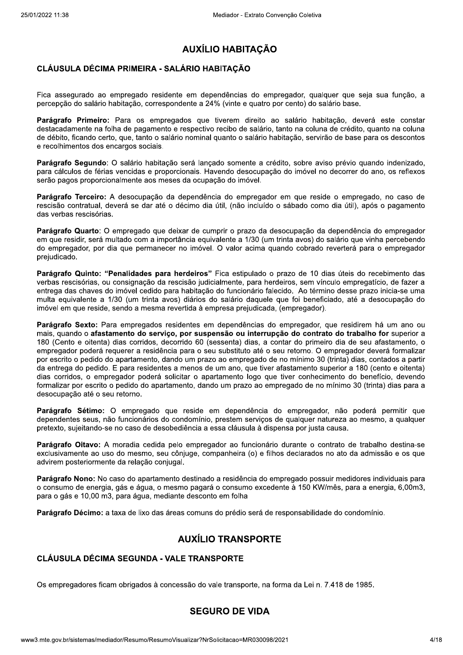# **AUXÍLIO HABITAÇÃO**

# **CLÁUSULA DÉCIMA PRIMEIRA - SALÁRIO HABITACÃO**

Fica assegurado ao empregado residente em dependências do empregador, qualquer que seja sua função, a percepção do salário habitação, correspondente a 24% (vinte e quatro por cento) do salário base.

Parágrafo Primeiro: Para os empregados que tiverem direito ao salário habitação, deverá este constar destacadamente na folha de pagamento e respectivo recibo de salário, tanto na coluna de crédito, quanto na coluna de débito, ficando certo, que, tanto o salário nominal quanto o salário habitação, servirão de base para os descontos e recolhimentos dos encargos sociais.

Parágrafo Segundo: O salário habitação será lançado somente a crédito, sobre aviso prévio quando indenizado, para cálculos de férias vencidas e proporcionais. Havendo desocupação do imóvel no decorrer do ano, os reflexos serão pagos proporcionalmente aos meses da ocupação do imóvel.

Parágrafo Terceiro: A desocupação da dependência do empregador em que reside o empregado, no caso de rescisão contratual, deverá se dar até o décimo dia útil, (não incluído o sábado como dia útil), após o pagamento das verbas rescisórias.

Parágrafo Quarto: O empregado que deixar de cumprir o prazo da desocupação da dependência do empregador em que residir, será multado com a importância equivalente a 1/30 (um trinta avos) do salário que vinha percebendo do empregador, por dia que permanecer no imóvel. O valor acima quando cobrado reverterá para o empregador prejudicado.

Parágrafo Quinto: "Penalidades para herdeiros" Fica estipulado o prazo de 10 dias úteis do recebimento das verbas rescisórias, ou consignação da rescisão judicialmente, para herdeiros, sem vínculo empregatício, de fazer a entrega das chaves do imóvel cedido para habitação do funcionário falecido. Ao término desse prazo inicia-se uma multa equivalente a 1/30 (um trinta avos) diários do salário daquele que foi beneficiado, até a desocupação do imóvel em que reside, sendo a mesma revertida à empresa prejudicada, (empregador).

Parágrafo Sexto: Para empregados residentes em dependências do empregador, que residirem há um ano ou mais, quando o afastamento do serviço, por suspensão ou interrupção do contrato do trabalho for superior a 180 (Cento e oitenta) dias corridos, decorrido 60 (sessenta) dias, a contar do primeiro dia de seu afastamento, o empregador poderá requerer a residência para o seu substituto até o seu retorno. O empregador deverá formalizar por escrito o pedido do apartamento, dando um prazo ao empregado de no mínimo 30 (trinta) dias, contados a partir da entrega do pedido. E para residentes a menos de um ano, que tiver afastamento superior a 180 (cento e oitenta) dias corridos, o empregador poderá solicitar o apartamento logo que tiver conhecimento do benefício, devendo formalizar por escrito o pedido do apartamento, dando um prazo ao empregado de no mínimo 30 (trinta) dias para a desocupação até o seu retorno.

Parágrafo Sétimo: O empregado que reside em dependência do empregador, não poderá permitir que dependentes seus, não funcionários do condomínio, prestem servicos de qualquer natureza ao mesmo, a qualquer pretexto, sujeitando-se no caso de desobediência a essa cláusula à dispensa por justa causa.

Parágrafo Oitavo: A moradia cedida pelo empregador ao funcionário durante o contrato de trabalho destina-se exclusivamente ao uso do mesmo, seu cônjuge, companheira (o) e filhos declarados no ato da admissão e os que advirem posteriormente da relação conjugal.

Parágrafo Nono: No caso do apartamento destinado a residência do empregado possuir medidores individuais para o consumo de energia, gás e água, o mesmo pagará o consumo excedente à 150 KW/mês, para a energia, 6,00m3, para o gás e 10,00 m3, para água, mediante desconto em folha

Parágrafo Décimo: a taxa de lixo das áreas comuns do prédio será de responsabilidade do condomínio.

## **AUXÍLIO TRANSPORTE**

# **CLÁUSULA DÉCIMA SEGUNDA - VALE TRANSPORTE**

Os empregadores ficam obrigados à concessão do vale transporte, na forma da Lei n. 7.418 de 1985.

## **SEGURO DE VIDA**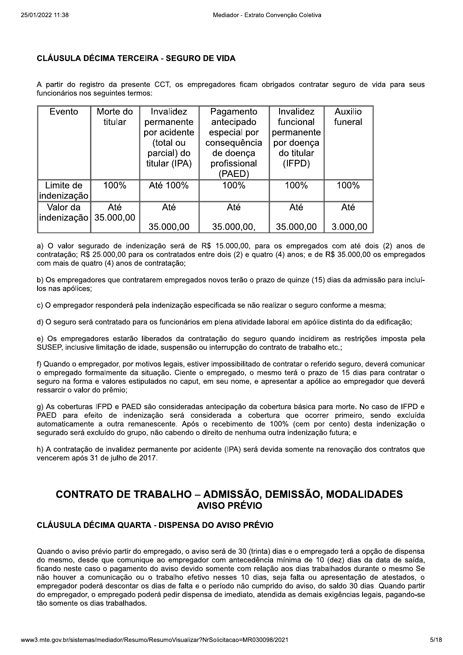### **CLÁUSULA DÉCIMA TERCEIRA - SEGURO DE VIDA**

A partir do registro da presente CCT, os empregadores ficam obrigados contratar seguro de vida para seus funcionários nos sequintes termos:

| Evento      | Morte do  | Invalidez     | Pagamento    | <b>Invalidez</b> | <b>Auxilio</b> |
|-------------|-----------|---------------|--------------|------------------|----------------|
|             | titular   | permanente    | antecipado   | funcional        | funeral        |
|             |           | por acidente  | especial por | permanente       |                |
|             |           | (total ou     | consequência | por doença       |                |
|             |           | parcial) do   | de doença    | do titular       |                |
|             |           | titular (IPA) | profissional | (IFPD)           |                |
|             |           |               | (PAED)       |                  |                |
| Limite de   | 100%      | Até 100%      | 100%         | 100%             | 100%           |
| indenização |           |               |              |                  |                |
| Valor da    | Até       | Até           | Até          | Até              | Até            |
| indenização | 35.000,00 |               |              |                  |                |
|             |           | 35.000,00     | 35.000,00,   | 35.000,00        | 3.000,00       |

a) O valor segurado de indenização será de R\$ 15.000,00, para os empregados com até dois (2) anos de contratação; R\$ 25.000,00 para os contratados entre dois (2) e quatro (4) anos; e de R\$ 35.000,00 os empregados com mais de quatro (4) anos de contratação;

b) Os empregadores que contratarem empregados novos terão o prazo de guinze (15) dias da admissão para incluílos nas apólices;

c) O empregador responderá pela indenização especificada se não realizar o seguro conforme a mesma;

d) O seguro será contratado para os funcionários em plena atividade laboral em apólice distinta do da edificação;

e) Os empregadores estarão liberados da contratação do seguro guando incidirem as restrições imposta pela SUSEP, inclusive limitação de idade, suspensão ou interrupção do contrato de trabalho etc.:

f) Quando o empregador, por motivos legais, estiver impossibilitado de contratar o referido seguro, deverá comunicar o empregado formalmente da situação. Ciente o empregado, o mesmo terá o prazo de 15 dias para contratar o seguro na forma e valores estipulados no caput, em seu nome, e apresentar a apólice ao empregador que deverá ressarcir o valor do prêmio;

g) As coberturas IFPD e PAED são consideradas antecipação da cobertura básica para morte. No caso de IFPD e PAED para efeito de indenização será considerada a cobertura que ocorrer primeiro, sendo excluída automaticamente a outra remanescente. Após o recebimento de 100% (cem por cento) desta indenização o segurado será excluído do grupo, não cabendo o direito de nenhuma outra indenização futura; e

h) A contratação de invalidez permanente por acidente (IPA) será devida somente na renovação dos contratos que vencerem após 31 de julho de 2017.

# **CONTRATO DE TRABALHO - ADMISSÃO, DEMISSÃO, MODALIDADES AVISO PRÉVIO**

## CLÁUSULA DÉCIMA QUARTA - DISPENSA DO AVISO PRÉVIO

Quando o aviso prévio partir do empregado, o aviso será de 30 (trinta) dias e o empregado terá a opção de dispensa do mesmo, desde que comunique ao empregador com antecedência mínima de 10 (dez) dias da data de saída, ficando neste caso o pagamento do aviso devido somente com relação aos dias trabalhados durante o mesmo Se não houver a comunicação ou o trabalho efetivo nesses 10 dias, seja falta ou apresentação de atestados, o empregador poderá descontar os dias de falta e o período não cumprido do aviso, do saldo 30 dias. Quando partir do empregador, o empregado poderá pedir dispensa de imediato, atendida as demais exigências legais, pagando-se tão somente os dias trabalhados.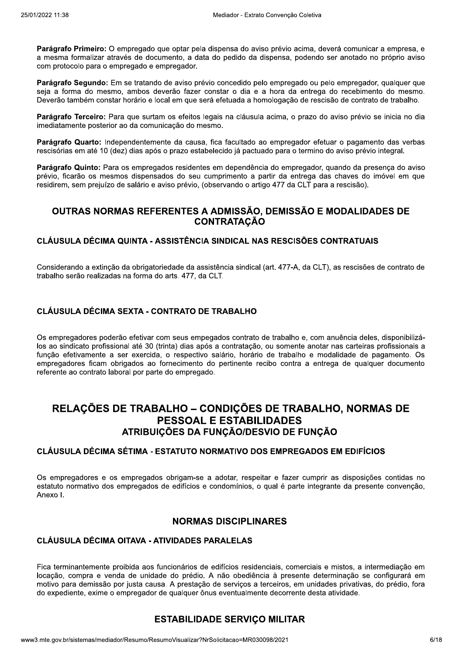Parágrafo Primeiro: O empregado que optar pela dispensa do aviso prévio acima, deverá comunicar a empresa, e a mesma formalizar através de documento, a data do pedido da dispensa, podendo ser anotado no próprio aviso com protocolo para o empregado e empregador.

Parágrafo Segundo: Em se tratando de aviso prévio concedido pelo empregado ou pelo empregador, qualquer que seja a forma do mesmo, ambos deverão fazer constar o dia e a hora da entrega do recebimento do mesmo. Deverão também constar horário e local em que será efetuada a homologação de rescisão de contrato de trabalho.

Parágrafo Terceiro: Para que surtam os efeitos legais na cláusula acima, o prazo do aviso prévio se inicia no dia imediatamente posterior ao da comunicação do mesmo.

Parágrafo Quarto: Independentemente da causa, fica facultado ao empregador efetuar o pagamento das verbas rescisórias em até 10 (dez) dias após o prazo estabelecido já pactuado para o termino do aviso prévio integral.

Parágrafo Quinto: Para os empregados residentes em dependência do empregador, quando da presenca do aviso prévio, ficarão os mesmos dispensados do seu cumprimento a partir da entrega das chaves do imóvel em que residirem, sem prejuízo de salário e aviso prévio, (observando o artigo 477 da CLT para a rescisão).

## OUTRAS NORMAS REFERENTES A ADMISSÃO, DEMISSÃO E MODALIDADES DE **CONTRATAÇÃO**

### CLÁUSULA DÉCIMA QUINTA - ASSISTÊNCIA SINDICAL NAS RESCISÕES CONTRATUAIS

Considerando a extinção da obrigatoriedade da assistência sindical (art. 477-A, da CLT), as rescisões de contrato de trabalho serão realizadas na forma do arts. 477, da CLT.

## **CLÁUSULA DÉCIMA SEXTA - CONTRATO DE TRABALHO**

Os empregadores poderão efetivar com seus empegados contrato de trabalho e, com anuência deles, disponibilizálos ao sindicato profissional até 30 (trinta) dias após a contratação, ou somente anotar nas carteiras profissionais a função efetivamente a ser exercida, o respectivo salário, horário de trabalho e modalidade de pagamento. Os empregadores ficam obrigados ao fornecimento do pertinente recibo contra a entrega de qualquer documento referente ao contrato laboral por parte do empregado.

# RELAÇÕES DE TRABALHO – CONDIÇÕES DE TRABALHO, NORMAS DE **PESSOAL E ESTABILIDADES** ATRIBUIÇÕES DA FUNÇÃO/DESVIO DE FUNÇÃO

### CLÁUSULA DÉCIMA SÉTIMA - ESTATUTO NORMATIVO DOS EMPREGADOS EM EDIFÍCIOS

Os empregadores e os empregados obrigam-se a adotar, respeitar e fazer cumprir as disposições contidas no estatuto normativo dos empregados de edifícios e condomínios, o qual é parte integrante da presente convenção, Anexo I.

## **NORMAS DISCIPLINARES**

## **CLÁUSULA DÉCIMA OITAVA - ATIVIDADES PARALELAS**

Fica terminantemente proibida aos funcionários de edifícios residenciais, comerciais e mistos, a intermediação em locação, compra e venda de unidade do prédio. A não obediência à presente determinação se configurará em motivo para demissão por justa causa. A prestação de serviços a terceiros, em unidades privativas, do prédio, fora do expediente, exime o empregador de qualquer ônus eventualmente decorrente desta atividade.

## **ESTABILIDADE SERVIÇO MILITAR**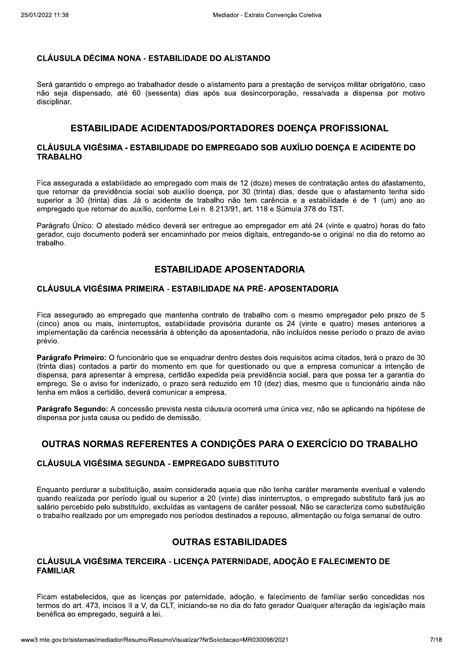#### **CLÁUSULA DÉCIMA NONA - ESTABILIDADE DO ALISTANDO**

Será garantido o emprego ao trabalhador desde o alistamento para a prestação de servicos militar obrigatório, caso não seja dispensado, até 60 (sessenta) dias após sua desincorporação, ressalvada a dispensa por motivo disciplinar.

## ESTABILIDADE ACIDENTADOS/PORTADORES DOENÇA PROFISSIONAL

#### CLÁUSULA VIGÉSIMA - ESTABILIDADE DO EMPREGADO SOB AUXÍLIO DOENÇA E ACIDENTE DO **TRABALHO**

Fica assegurada a estabilidade ao empregado com mais de 12 (doze) meses de contratação antes do afastamento, que retornar da previdência social sob auxílio doença, por 30 (trinta) dias, desde que o afastamento tenha sido superior a 30 (trinta) dias. Já o acidente de trabalho não tem carência e a estabilidade é de 1 (um) ano ao empregado que retornar do auxílio, conforme Lei n. 8.213/91, art. 118 e Súmula 378 do TST.

Parágrafo Único: O atestado médico deverá ser entregue ao empregador em até 24 (vinte e quatro) horas do fato gerador, cujo documento poderá ser encaminhado por meios digitais, entregando-se o original no dia do retorno ao trabalho.

## **ESTABILIDADE APOSENTADORIA**

#### CLÁUSULA VIGÉSIMA PRIMEIRA - ESTABILIDADE NA PRÉ-APOSENTADORIA

Fica assegurado ao empregado que mantenha contrato de trabalho com o mesmo empregador pelo prazo de 5 (cinco) anos ou mais, ininterruptos, estabilidade provisória durante os 24 (vinte e quatro) meses anteriores a implementação da carência necessária à obtenção da aposentadoria, não incluídos nesse período o prazo de aviso prévio.

Parágrafo Primeiro: O funcionário que se enquadrar dentro destes dois requisitos acima citados, terá o prazo de 30 (trinta dias) contados a partir do momento em que for questionado ou que a empresa comunicar a intenção de dispensa, para apresentar à empresa, certidão expedida pela previdência social, para que possa ter a garantia do emprego. Se o aviso for indenizado, o prazo será reduzido em 10 (dez) dias, mesmo que o funcionário ainda não tenha em mãos a certidão, deverá comunicar a empresa.

Parágrafo Segundo: A concessão prevista nesta cláusula ocorrerá uma única vez, não se aplicando na hipótese de dispensa por justa causa ou pedido de demissão.

## OUTRAS NORMAS REFERENTES A CONDIÇÕES PARA O EXERCÍCIO DO TRABALHO

### CLÁUSULA VIGÉSIMA SEGUNDA - EMPREGADO SUBSTITUTO

Enquanto perdurar a substituição, assim considerada aquela que não tenha caráter meramente eventual e valendo quando realizada por período igual ou superior a 20 (vinte) dias ininterruptos, o empregado substituto fará jus ao salário percebido pelo substituído, excluídas as vantagens de caráter pessoal. Não se caracteriza como substituição o trabalho realizado por um empregado nos períodos destinados a repouso, alimentação ou folga semanal de outro.

## **OUTRAS ESTABILIDADES**

### CLÁUSULA VIGÉSIMA TERCEIRA - LICENCA PATERNIDADE, ADOCÃO E FALECIMENTO DE **FAMILIAR**

Ficam estabelecidos, que as licenças por paternidade, adoção, e falecimento de familiar serão concedidas nos termos do art. 473, incisos II a V, da CLT, iniciando-se no dia do fato gerador Qualquer alteração da legislação mais benéfica ao empregado, seguirá a lei.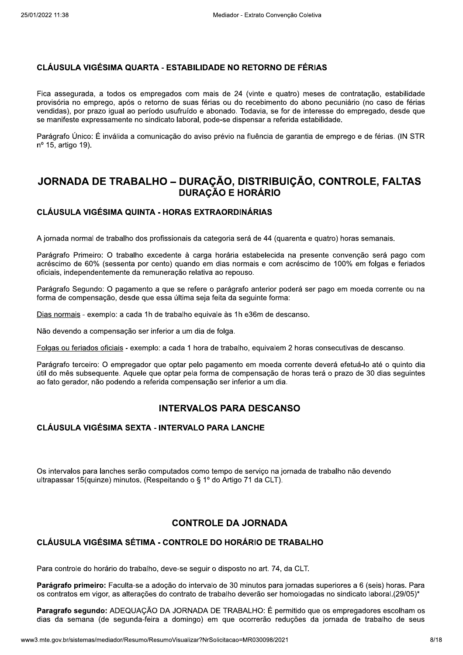#### CLÁUSULA VIGÉSIMA QUARTA - ESTABILIDADE NO RETORNO DE FÉRIAS

Fica assegurada, a todos os empregados com mais de 24 (vinte e guatro) meses de contratação, estabilidade provisória no emprego, após o retorno de suas férias ou do recebimento do abono pecuniário (no caso de férias vendidas), por prazo igual ao período usufruído e abonado. Todavia, se for de interesse do empregado, desde que se manifeste expressamente no sindicato laboral, pode-se dispensar a referida estabilidade.

Parágrafo Único: É inválida a comunicação do aviso prévio na fluência de garantia de emprego e de férias. (IN STR nº 15, artigo 19).

## JORNADA DE TRABALHO – DURAÇÃO, DISTRIBUIÇÃO, CONTROLE, FALTAS **DURAÇÃO E HORÁRIO**

### **CLÁUSULA VIGÉSIMA QUINTA - HORAS EXTRAORDINÁRIAS**

A jornada normal de trabalho dos profissionais da categoria será de 44 (quarenta e quatro) horas semanais.

Parágrafo Primeiro: O trabalho excedente à carga horária estabelecida na presente convenção será pago com acréscimo de 60% (sessenta por cento) quando em dias normais e com acréscimo de 100% em folgas e feriados oficiais, independentemente da remuneração relativa ao repouso.

Parágrafo Segundo: O pagamento a que se refere o parágrafo anterior poderá ser pago em moeda corrente ou na forma de compensação, desde que essa última seja feita da seguinte forma:

Dias normais - exemplo: a cada 1h de trabalho equivale às 1h e36m de descanso.

Não devendo a compensação ser inferior a um dia de folga.

Folgas ou feriados oficiais - exemplo: a cada 1 hora de trabalho, equivalem 2 horas consecutivas de descanso.

Parágrafo terceiro: O empregador que optar pelo pagamento em moeda corrente deverá efetuá-lo até o quinto dia útil do mês subsequente. Aquele que optar pela forma de compensação de horas terá o prazo de 30 dias sequintes ao fato gerador, não podendo a referida compensação ser inferior a um dia.

## **INTERVALOS PARA DESCANSO**

#### **CLÁUSULA VIGÉSIMA SEXTA - INTERVALO PARA LANCHE**

Os intervalos para lanches serão computados como tempo de serviço na jornada de trabalho não devendo ultrapassar 15(quinze) minutos. (Respeitando o § 1º do Artigo 71 da CLT).

## **CONTROLE DA JORNADA**

#### CLÁUSULA VIGÉSIMA SÉTIMA - CONTROLE DO HORÁRIO DE TRABALHO

Para controle do horário do trabalho, deve-se seguir o disposto no art. 74, da CLT.

Parágrafo primeiro: Faculta-se a adoção do intervalo de 30 minutos para iornadas superiores a 6 (seis) horas. Para os contratos em vigor, as alterações do contrato de trabalho deverão ser homologadas no sindicato laboral.(29/05)\*

Paragrafo segundo: ADEQUAÇÃO DA JORNADA DE TRABALHO: É permitido que os empregadores escolham os dias da semana (de segunda-feira a domingo) em que ocorrerão reduções da jornada de trabalho de seus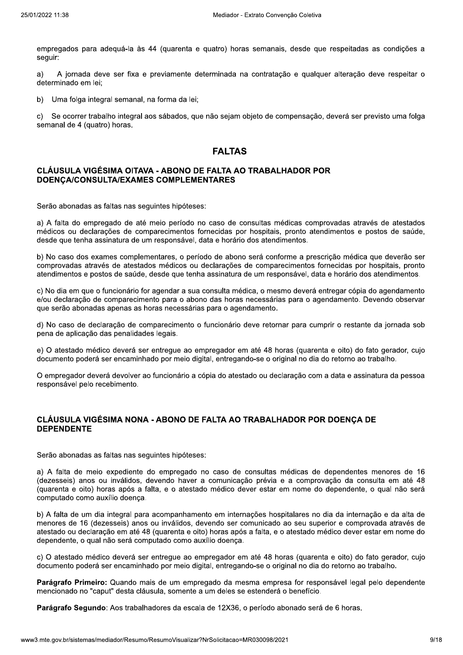empregados para adeguá-la às 44 (quarenta e quatro) horas semanais, desde que respeitadas as condições a seauir:

 $a)$ A jornada deve ser fixa e previamente determinada na contratação e qualquer alteração deve respeitar o determinado em lei:

Uma folga integral semanal, na forma da lei; b)

 $\mathbf{C}$ Se ocorrer trabalho integral aos sábados, que não sejam objeto de compensação, deverá ser previsto uma folga semanal de 4 (quatro) horas.

## **FALTAS**

#### CLÁUSULA VIGÉSIMA OITAVA - ABONO DE FALTA AO TRABALHADOR POR DOENÇA/CONSULTA/EXAMES COMPLEMENTARES

Serão abonadas as faltas nas seguintes hipóteses:

a) A falta do empregado de até meio período no caso de consultas médicas comprovadas através de atestados médicos ou declarações de comparecimentos fornecidas por hospitais, pronto atendimentos e postos de saúde, desde que tenha assinatura de um responsável, data e horário dos atendimentos.

b) No caso dos exames complementares, o período de abono será conforme a prescrição médica que deverão ser comprovadas através de atestados médicos ou declarações de comparecimentos fornecidas por hospitais, pronto atendimentos e postos de saúde, desde que tenha assinatura de um responsável, data e horário dos atendimentos.

c) No dia em que o funcionário for agendar a sua consulta médica, o mesmo deverá entregar cópia do agendamento e/ou declaração de comparecimento para o abono das horas necessárias para o agendamento. Devendo observar que serão abonadas apenas as horas necessárias para o agendamento.

d) No caso de declaração de comparecimento o funcionário deve retornar para cumprir o restante da jornada sob pena de aplicação das penalidades legais.

e) O atestado médico deverá ser entregue ao empregador em até 48 horas (guarenta e oito) do fato gerador, cujo documento poderá ser encaminhado por meio digital, entregando-se o original no dia do retorno ao trabalho.

O empregador deverá devolver ao funcionário a cópia do atestado ou declaração com a data e assinatura da pessoa responsável pelo recebimento.

### CLÁUSULA VIGÉSIMA NONA - ABONO DE FALTA AO TRABALHADOR POR DOENCA DE **DEPENDENTE**

Serão abonadas as faltas nas seguintes hipóteses:

a) A falta de meio expediente do empregado no caso de consultas médicas de dependentes menores de 16 (dezesseis) anos ou inválidos, devendo haver a comunicação prévia e a comprovação da consulta em até 48 (quarenta e oito) horas após a falta, e o atestado médico dever estar em nome do dependente, o qual não será computado como auxílio doença.

b) A falta de um dia integral para acompanhamento em internações hospitalares no dia da internação e da alta de menores de 16 (dezesseis) anos ou inválidos, devendo ser comunicado ao seu superior e comprovada através de atestado ou declaração em até 48 (quarenta e oito) horas após a falta, e o atestado médico dever estar em nome do dependente, o qual não será computado como auxílio doença.

c) O atestado médico deverá ser entregue ao empregador em até 48 horas (guarenta e oito) do fato gerador, cujo documento poderá ser encaminhado por meio digital, entregando-se o original no dia do retorno ao trabalho.

Parágrafo Primeiro: Quando mais de um empregado da mesma empresa for responsável legal pelo dependente mencionado no "caput" desta cláusula, somente a um deles se estenderá o benefício.

Parágrafo Segundo: Aos trabalhadores da escala de 12X36, o período abonado será de 6 horas.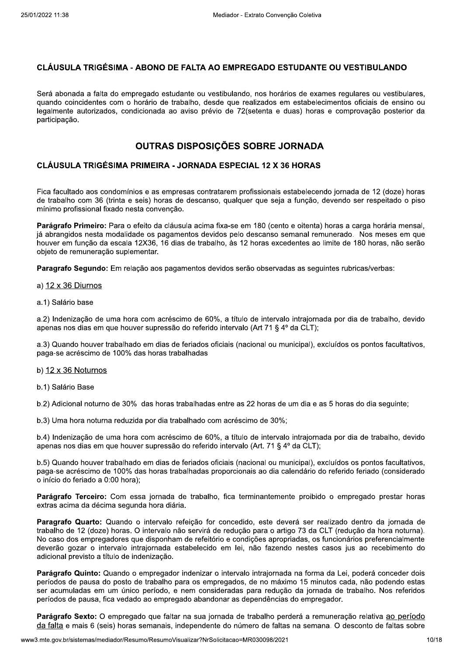#### CLÁUSULA TRIGÉSIMA - ABONO DE FALTA AO EMPREGADO ESTUDANTE OU VESTIBULANDO

Será abonada a falta do empregado estudante ou vestibulando, nos horários de exames regulares ou vestibulares, quando coincidentes com o horário de trabalho, desde que realizados em estabelecimentos oficiais de ensino ou legalmente autorizados, condicionada ao aviso prévio de 72(setenta e duas) horas e comprovação posterior da participação.

## OUTRAS DISPOSIÇÕES SOBRE JORNADA

#### **CLÁUSULA TRIGÉSIMA PRIMEIRA - JORNADA ESPECIAL 12 X 36 HORAS**

Fica facultado aos condomínios e as empresas contratarem profissionais estabelecendo jornada de 12 (doze) horas de trabalho com 36 (trinta e seis) horas de descanso, qualquer que seja a função, devendo ser respeitado o piso mínimo profissional fixado nesta convenção.

Parágrafo Primeiro: Para o efeito da cláusula acima fixa-se em 180 (cento e oitenta) horas a carga horária mensal, já abrangidos nesta modalidade os pagamentos devidos pelo descanso semanal remunerado. Nos meses em que houver em função da escala 12X36, 16 dias de trabalho, às 12 horas excedentes ao limite de 180 horas, não serão objeto de remuneração suplementar.

Paragrafo Segundo: Em relação aos pagamentos devidos serão observadas as seguintes rubricas/verbas:

#### a)  $12 \times 36$  Diurnos

a.1) Salário base

a.2) Indenização de uma hora com acréscimo de 60%, a título de intervalo intraiornada por dia de trabalho, devido apenas nos dias em que houver supressão do referido intervalo (Art 71 § 4º da CLT);

a.3) Quando houver trabalhado em dias de feriados oficiais (nacional ou municipal), excluídos os pontos facultativos, paga-se acréscimo de 100% das horas trabalhadas

#### b)  $12 \times 36$  Noturnos

b.1) Salário Base

b.2) Adicional noturno de 30% das horas trabalhadas entre as 22 horas de um dia e as 5 horas do dia seguinte;

b.3) Uma hora noturna reduzida por dia trabalhado com acréscimo de 30%;

b.4) Indenização de uma hora com acréscimo de 60%, a título de intervalo intrajornada por dia de trabalho, devido apenas nos dias em que houver supressão do referido intervalo (Art. 71 § 4º da CLT);

b.5) Quando houver trabalhado em dias de feriados oficiais (nacional ou municipal), excluídos os pontos facultativos, paga-se acréscimo de 100% das horas trabalhadas proporcionais ao dia calendário do referido feriado (considerado o início do feriado a 0:00 hora);

Parágrafo Terceiro: Com essa jornada de trabalho, fica terminantemente proibido o empregado prestar horas extras acima da décima segunda hora diária.

Paragrafo Quarto: Quando o intervalo refeição for concedido, este deverá ser realizado dentro da jornada de trabalho de 12 (doze) horas. O intervalo não servirá de redução para o artigo 73 da CLT (redução da hora noturna). No caso dos empregadores que disponham de refeitório e condições apropriadas, os funcionários preferencialmente deverão gozar o intervalo intrajornada estabelecido em lei, não fazendo nestes casos jus ao recebimento do adicional previsto a título de indenização.

Parágrafo Quinto: Quando o empregador indenizar o intervalo intrajornada na forma da Lei, poderá conceder dois períodos de pausa do posto de trabalho para os empregados, de no máximo 15 minutos cada, não podendo estas ser acumuladas em um único período, e nem consideradas para redução da jornada de trabalho. Nos referidos períodos de pausa, fica vedado ao empregado abandonar as dependências do empregador.

Parágrafo Sexto: O empregado que faltar na sua jornada de trabalho perderá a remuneração relativa ao período da falta e mais 6 (seis) horas semanais, independente do número de faltas na semana. O desconto de faltas sobre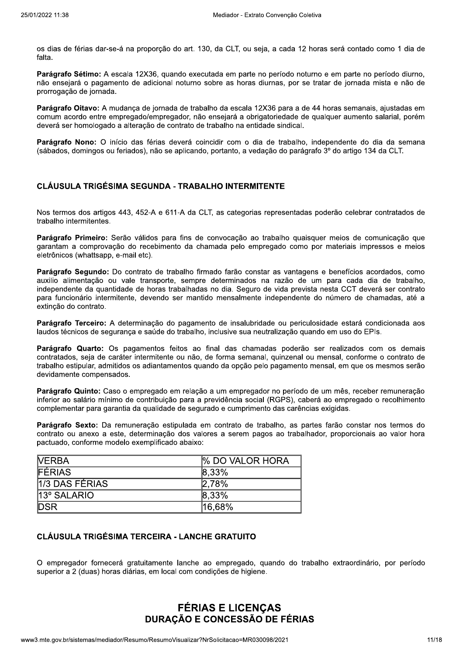os dias de férias dar-se-á na proporção do art. 130, da CLT, ou seja, a cada 12 horas será contado como 1 dia de falta.

Parágrafo Sétimo: A escala 12X36, quando executada em parte no período noturno e em parte no período diurno, não ensejará o pagamento de adicional noturno sobre as horas diurnas, por se tratar de jornada mista e não de prorrogação de jornada.

Parágrafo Oitavo: A mudança de jornada de trabalho da escala 12X36 para a de 44 horas semanais, ajustadas em comum acordo entre empregado/empregador, não ensejará a obrigatoriedade de qualquer aumento salarial, porém deverá ser homologado a alteração de contrato de trabalho na entidade sindical.

Parágrafo Nono: O início das férias deverá coincidir com o dia de trabalho, independente do dia da semana (sábados, domingos ou feriados), não se aplicando, portanto, a vedação do parágrafo 3º do artigo 134 da CLT.

### CLÁUSULA TRIGÉSIMA SEGUNDA - TRABALHO INTERMITENTE

Nos termos dos artigos 443, 452-A e 611-A da CLT, as categorias representadas poderão celebrar contratados de trabalho intermitentes.

Parágrafo Primeiro: Serão válidos para fins de convocação ao trabalho quaisquer meios de comunicação que garantam a comprovação do recebimento da chamada pelo empregado como por materiais impressos e meios eletrônicos (whattsapp, e-mail etc).

Parágrafo Segundo: Do contrato de trabalho firmado farão constar as vantagens e benefícios acordados, como auxilio alimentação ou vale transporte, sempre determinados na razão de um para cada dia de trabalho, independente da quantidade de horas trabalhadas no dia. Seguro de vida prevista nesta CCT deverá ser contrato para funcionário intermitente, devendo ser mantido mensalmente independente do número de chamadas, até a extinção do contrato.

Parágrafo Terceiro: A determinação do pagamento de insalubridade ou periculosidade estará condicionada aos laudos técnicos de segurança e saúde do trabalho, inclusive sua neutralização quando em uso do EPIs.

Parágrafo Quarto: Os pagamentos feitos ao final das chamadas poderão ser realizados com os demais contratados, seja de caráter intermitente ou não, de forma semanal, quinzenal ou mensal, conforme o contrato de trabalho estipular, admitidos os adiantamentos quando da opção pelo pagamento mensal, em que os mesmos serão devidamente compensados.

Parágrafo Quinto: Caso o empregado em relação a um empregador no período de um mês, receber remuneração inferior ao salário mínimo de contribuição para a previdência social (RGPS), caberá ao empregado o recolhimento complementar para garantia da qualidade de segurado e cumprimento das carências exigidas.

Parágrafo Sexto: Da remuneração estipulada em contrato de trabalho, as partes farão constar nos termos do contrato ou anexo a este, determinação dos valores a serem pagos ao trabalhador, proporcionais ao valor hora pactuado, conforme modelo exemplificado abaixo:

| <b>NERBA</b>   | <b>% DO VALOR HORA</b> |  |
|----------------|------------------------|--|
| <b>FÉRIAS</b>  | $ 8,33\%$              |  |
| 1/3 DAS FÉRIAS | 2.78%                  |  |
| 13° SALARIO    | $ 8,33\%$              |  |
| <b>DSR</b>     | $ 16,68\%$             |  |

## **CLÁUSULA TRIGÉSIMA TERCEIRA - LANCHE GRATUITO**

O empregador fornecerá gratuitamente lanche ao empregado, quando do trabalho extraordinário, por período superior a 2 (duas) horas diárias, em local com condições de higiene.

# **FÉRIAS E LICENÇAS** DURAÇÃO E CONCESSÃO DE FÉRIAS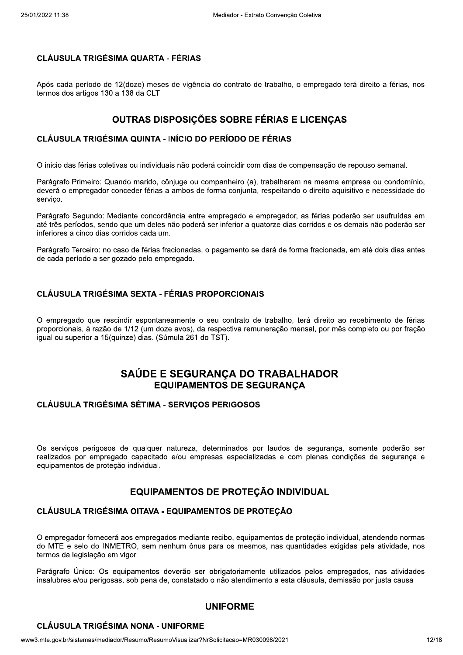### **CLÁUSULA TRIGÉSIMA QUARTA - FÉRIAS**

Após cada período de 12(doze) meses de vigência do contrato de trabalho, o empregado terá direito a férias, nos termos dos artigos 130 a 138 da CLT.

## **OUTRAS DISPOSIÇÕES SOBRE FÉRIAS E LICENÇAS**

### **CLÁUSULA TRIGÉSIMA QUINTA - INÍCIO DO PERÍODO DE FÉRIAS**

O inicio das férias coletivas ou individuais não poderá coincidir com dias de compensação de repouso semanal.

Parágrafo Primeiro: Quando marido, côniuge ou companheiro (a), trabalharem na mesma empresa ou condomínio, deverá o empregador conceder férias a ambos de forma conjunta, respeitando o direito aguisitivo e necessidade do servico.

Parágrafo Segundo: Mediante concordância entre empregado e empregador, as férias poderão ser usufruídas em até três períodos, sendo que um deles não poderá ser inferior a quatorze dias corridos e os demais não poderão ser inferiores a cinco dias corridos cada um.

Parágrafo Terceiro: no caso de férias fracionadas, o pagamento se dará de forma fracionada, em até dois dias antes de cada período a ser gozado pelo empregado.

## **CLÁUSULA TRIGÉSIMA SEXTA - FÉRIAS PROPORCIONAIS**

O empregado que rescindir espontaneamente o seu contrato de trabalho, terá direito ao recebimento de férias proporcionais, à razão de 1/12 (um doze avos), da respectiva remuneração mensal, por mês completo ou por fração iqual ou superior a 15 (quinze) dias. (Súmula 261 do TST).

## SAÚDE E SEGURANCA DO TRABALHADOR **EQUIPAMENTOS DE SEGURANCA**

#### **CLÁUSULA TRIGÉSIMA SÉTIMA - SERVIÇOS PERIGOSOS**

Os servicos perigosos de qualquer natureza, determinados por laudos de segurança, somente poderão ser realizados por empregado capacitado e/ou empresas especializadas e com plenas condições de segurança e equipamentos de proteção individual.

## EQUIPAMENTOS DE PROTEÇÃO INDIVIDUAL

#### CLÁUSULA TRIGÉSIMA OITAVA - EQUIPAMENTOS DE PROTECÃO

O empregador fornecerá aos empregados mediante recibo, equipamentos de proteção individual, atendendo normas do MTE e selo do INMETRO, sem nenhum ônus para os mesmos, nas quantidades exigidas pela atividade, nos termos da legislação em vigor.

Parágrafo Único: Os equipamentos deverão ser obrigatoriamente utilizados pelos empregados, nas atividades insalubres e/ou perigosas, sob pena de, constatado o não atendimento a esta cláusula, demissão por justa causa

## **UNIFORME**

#### **CLÁUSULA TRIGÉSIMA NONA - UNIFORME**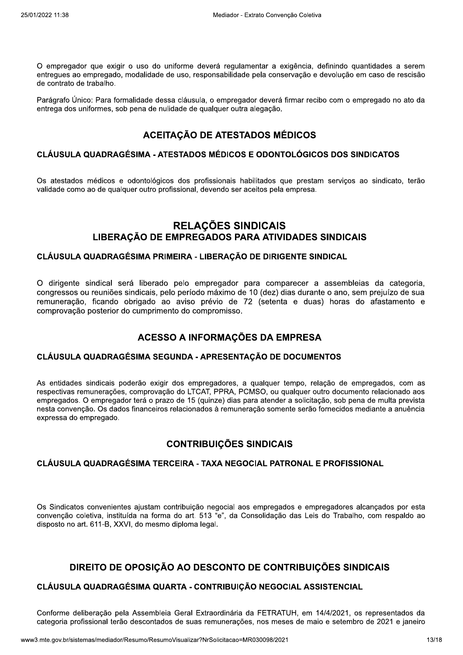O empregador que exigir o uso do uniforme deverá regulamentar a exigência, definindo quantidades a serem entregues ao empregado, modalidade de uso, responsabilidade pela conservação e devolução em caso de rescisão de contrato de trabalho.

Parágrafo Único: Para formalidade dessa cláusula, o empregador deverá firmar recibo com o empregado no ato da entrega dos uniformes, sob pena de nulidade de qualquer outra alegação.

## **ACEITAÇÃO DE ATESTADOS MÉDICOS**

#### CLÁUSULA QUADRAGÉSIMA - ATESTADOS MÉDICOS E ODONTOLÓGICOS DOS SINDICATOS

Os atestados médicos e odontológicos dos profissionais habilitados que prestam serviços ao sindicato, terão validade como ao de qualquer outro profissional, devendo ser aceitos pela empresa.

## **RELAÇÕES SINDICAIS** LIBERAÇÃO DE EMPREGADOS PARA ATIVIDADES SINDICAIS

#### CLÁUSULA QUADRAGÉSIMA PRIMEIRA - LIBERAÇÃO DE DIRIGENTE SINDICAL

O dirigente sindical será liberado pelo empregador para comparecer a assembleias da categoria, congressos ou reuniões sindicais, pelo período máximo de 10 (dez) dias durante o ano, sem prejuízo de sua remuneração, ficando obrigado ao aviso prévio de 72 (setenta e duas) horas do afastamento e comprovação posterior do cumprimento do compromisso.

## ACESSO A INFORMAÇÕES DA EMPRESA

#### CLÁUSULA QUADRAGÉSIMA SEGUNDA - APRESENTAÇÃO DE DOCUMENTOS

As entidades sindicais poderão exigir dos empregadores, a qualquer tempo, relação de empregados, com as respectivas remunerações, comprovação do LTCAT, PPRA, PCMSO, ou qualquer outro documento relacionado aos empregados. O empregador terá o prazo de 15 (quinze) dias para atender a solicitação, sob pena de multa prevista nesta convenção. Os dados financeiros relacionados à remuneração somente serão fornecidos mediante a anuência expressa do empregado.

## **CONTRIBUIÇÕES SINDICAIS**

### CLÁUSULA QUADRAGÉSIMA TERCEIRA - TAXA NEGOCIAL PATRONAL E PROFISSIONAL

Os Sindicatos convenientes ajustam contribuição negocial aos empregados e empregadores alcançados por esta convenção coletiva, instituída na forma do art. 513 "e", da Consolidação das Leis do Trabalho, com respaldo ao disposto no art. 611-B, XXVI, do mesmo diploma legal.

## DIREITO DE OPOSIÇÃO AO DESCONTO DE CONTRIBUIÇÕES SINDICAIS

## CLÁUSULA QUADRAGÉSIMA QUARTA - CONTRIBUIÇÃO NEGOCIAL ASSISTENCIAL

Conforme deliberação pela Assembleia Geral Extraordinária da FETRATUH, em 14/4/2021, os representados da categoria profissional terão descontados de suas remunerações, nos meses de maio e setembro de 2021 e janeiro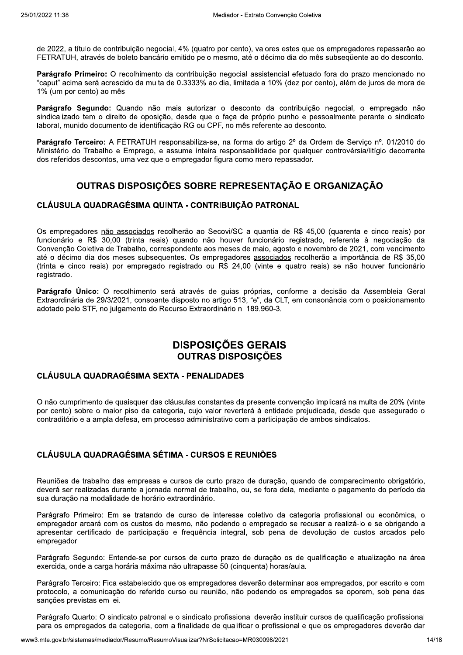de 2022, a título de contribuição negocial, 4% (quatro por cento), valores estes que os empregadores repassarão ao FETRATUH, através de boleto bancário emitido pelo mesmo, até o décimo dia do mês subsequente ao do desconto.

Parágrafo Primeiro: O recolhimento da contribuição negocial assistencial efetuado fora do prazo mencionado no "caput" acima será acrescido da multa de 0.3333% ao dia, limitada a 10% (dez por cento), além de juros de mora de 1% (um por cento) ao mês.

Parágrafo Segundo: Quando não mais autorizar o desconto da contribuição negocial, o empregado não sindicalizado tem o direito de oposição, desde que o faça de próprio punho e pessoalmente perante o sindicato laboral, munido documento de identificação RG ou CPF, no mês referente ao desconto.

Parágrafo Terceiro: A FETRATUH responsabiliza-se, na forma do artigo 2º da Ordem de Servico nº, 01/2010 do Ministério do Trabalho e Emprego, e assume inteira responsabilidade por qualquer controvérsia/litígio decorrente dos referidos descontos, uma vez que o empregador figura como mero repassador.

# OUTRAS DISPOSIÇÕES SOBRE REPRESENTAÇÃO E ORGANIZAÇÃO

### CLÁUSULA QUADRAGÉSIMA QUINTA - CONTRIBUIÇÃO PATRONAL

Os empregadores não associados recolherão ao Secovi/SC a quantia de R\$ 45,00 (quarenta e cinco reais) por funcionário e R\$ 30,00 (trinta reais) quando não houver funcionário registrado, referente à negociação da Convenção Coletiva de Trabalho, correspondente aos meses de maio, agosto e novembro de 2021, com vencimento até o décimo dia dos meses subsequentes. Os empregadores associados recolherão a importância de R\$ 35,00 (trinta e cinco reais) por empregado registrado ou R\$ 24,00 (vinte e quatro reais) se não houver funcionário registrado.

Parágrafo Único: O recolhimento será através de guias próprias, conforme a decisão da Assembleia Geral Extraordinária de 29/3/2021, consoante disposto no artigo 513, "e", da CLT, em consonância com o posicionamento adotado pelo STF, no julgamento do Recurso Extraordinário n. 189.960-3.

# **DISPOSIÇÕES GERAIS OUTRAS DISPOSICÕES**

### **CLÁUSULA QUADRAGÉSIMA SEXTA - PENALIDADES**

O não cumprimento de quaisquer das cláusulas constantes da presente convenção implicará na multa de 20% (vinte por cento) sobre o maior piso da categoria, cujo valor reverterá à entidade prejudicada, desde que assegurado o contraditório e a ampla defesa, em processo administrativo com a participação de ambos sindicatos.

## **CLÁUSULA QUADRAGÉSIMA SÉTIMA - CURSOS E REUNIÕES**

Reuniões de trabalho das empresas e cursos de curto prazo de duração, quando de comparecimento obrigatório, deverá ser realizadas durante a jornada normal de trabalho, ou, se fora dela, mediante o pagamento do período da sua duração na modalidade de horário extraordinário.

Parágrafo Primeiro: Em se tratando de curso de interesse coletivo da categoria profissional ou econômica, o empregador arcará com os custos do mesmo, não podendo o empregado se recusar a realizá-lo e se obrigando a apresentar certificado de participação e freguência integral, sob pena de devolução de custos arcados pelo empregador.

Parágrafo Segundo: Entende-se por cursos de curto prazo de duração os de qualificação e atualização na área exercida, onde a carga horária máxima não ultrapasse 50 (cinquenta) horas/aula.

Parágrafo Terceiro: Fica estabelecido que os empregadores deverão determinar aos empregados, por escrito e com protocolo, a comunicação do referido curso ou reunião, não podendo os empregados se oporem, sob pena das sanções previstas em lei.

Parágrafo Quarto: O sindicato patronal e o sindicato profissional deverão instituir cursos de qualificação profissional para os empregados da categoria, com a finalidade de qualificar o profissional e que os empregadores deverão dar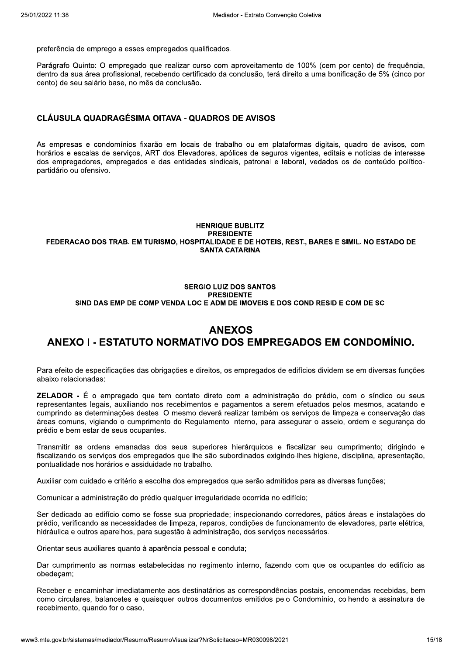preferência de emprego a esses empregados qualificados.

Parágrafo Quinto: O empregado que realizar curso com aproveitamento de 100% (cem por cento) de freguência. dentro da sua área profissional, recebendo certificado da conclusão, terá direito a uma bonificação de 5% (cinco por cento) de seu salário base, no mês da conclusão.

### **CLÁUSULA QUADRAGÉSIMA OITAVA - QUADROS DE AVISOS**

As empresas e condomínios fixarão em locais de trabalho ou em plataformas digitais, quadro de avisos, com horários e escalas de servicos. ART dos Elevadores, apólices de seguros vigentes, editais e notícias de interesse dos empregadores, empregados e das entidades sindicais, patronal e laboral, vedados os de conteúdo políticopartidário ou ofensivo.

#### **HENRIQUE BUBLITZ PRESIDENTE** FEDERACAO DOS TRAB. EM TURISMO, HOSPITALIDADE E DE HOTEIS, REST., BARES E SIMIL. NO ESTADO DE **SANTA CATARINA**

#### **SERGIO LUIZ DOS SANTOS PRESIDENTE** SIND DAS EMP DE COMP VENDA LOC E ADM DE IMOVEIS E DOS COND RESID E COM DE SC

# **ANEXOS** ANEXO I - ESTATUTO NORMATIVO DOS EMPREGADOS EM CONDOMÍNIO.

Para efeito de especificações das obrigações e direitos, os empregados de edifícios dividem-se em diversas funções abaixo relacionadas:

**ZELADOR** - É o empregado que tem contato direto com a administração do prédio, com o síndico ou seus representantes legais, auxiliando nos recebimentos e pagamentos a serem efetuados pelos mesmos, acatando e cumprindo as determinações destes. O mesmo deverá realizar também os serviços de limpeza e conservação das áreas comuns, vigiando o cumprimento do Regulamento Interno, para assegurar o asseio, ordem e seguranca do prédio e bem estar de seus ocupantes.

Transmitir as ordens emanadas dos seus superiores hierárquicos e fiscalizar seu cumprimento; dirigindo e fiscalizando os serviços dos empregados que lhe são subordinados exigindo-lhes higiene, disciplina, apresentação, pontualidade nos horários e assiduidade no trabalho.

Auxiliar com cuidado e critério a escolha dos empregados que serão admitidos para as diversas funções;

Comunicar a administração do prédio qualquer irregularidade ocorrida no edifício;

Ser dedicado ao edifício como se fosse sua propriedade; inspecionando corredores, pátios áreas e instalações do prédio, verificando as necessidades de limpeza, reparos, condições de funcionamento de elevadores, parte elétrica, hidráulica e outros aparelhos, para sugestão à administração, dos serviços necessários.

Orientar seus auxiliares quanto à aparência pessoal e conduta;

Dar cumprimento as normas estabelecidas no regimento interno, fazendo com que os ocupantes do edifício as obedeçam;

Receber e encaminhar imediatamente aos destinatários as correspondências postais, encomendas recebidas, bem como circulares, balancetes e quaisquer outros documentos emitidos pelo Condomínio, colhendo a assinatura de recebimento, quando for o caso.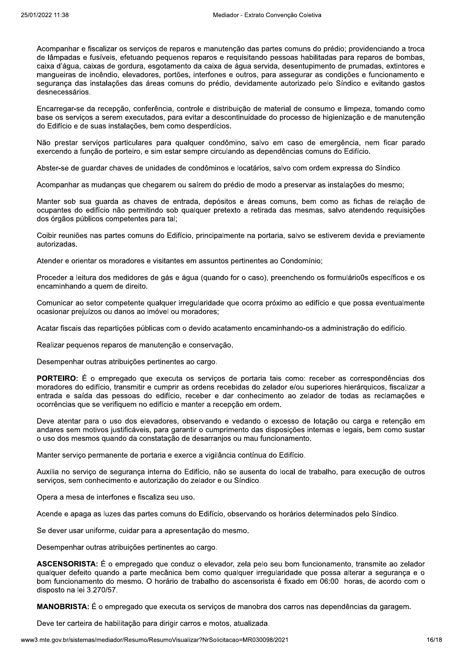Acompanhar e fiscalizar os servicos de reparos e manutenção das partes comuns do prédio: providenciando a troca de lâmpadas e fusíveis, efetuando pequenos reparos e requisitando pessoas habilitadas para reparos de bombas, caixa d'áqua, caixas de gordura, esgotamento da caixa de áqua servida, desentupimento de prumadas, extintores e manqueiras de incêndio, elevadores, portões, interfones e outros, para assegurar as condições e funcionamento e segurança das instalações das áreas comuns do prédio, devidamente autorizado pelo Síndico e evitando gastos desnecessários.

Encarregar-se da recepção, conferência, controle e distribuição de material de consumo e limpeza, tomando como base os servicos a serem executados, para evitar a descontinuidade do processo de higienização e de manutenção do Edifício e de suas instalações, bem como desperdícios.

Não prestar servicos particulares para qualquer condômino, salvo em caso de emergência, nem ficar parado exercendo a função de porteiro, e sim estar sempre circulando as dependências comuns do Edifício.

Abster-se de quardar chaves de unidades de condôminos e locatários, salvo com ordem expressa do Síndico.

Acompanhar as mudanças que chegarem ou saírem do prédio de modo a preservar as instalações do mesmo;

Manter sob sua quarda as chaves de entrada, depósitos e áreas comuns, bem como as fichas de relação de ocupantes do edifício não permitindo sob qualquer pretexto a retirada das mesmas, salvo atendendo requisições dos órgãos públicos competentes para tal:

Coibir reuniões nas partes comuns do Edifício, principalmente na portaria, salvo se estiverem devida e previamente autorizadas.

Atender e orientar os moradores e visitantes em assuntos pertinentes ao Condomínio:

Proceder a leitura dos medidores de gás e água (guando for o caso), preenchendo os formulário0s específicos e os encaminhando a quem de direito.

Comunicar ao setor competente qualquer irregularidade que ocorra próximo ao edifício e que possa eventualmente ocasionar prejuízos ou danos ao imóvel ou moradores:

Acatar fiscais das repartições públicas com o devido acatamento encaminhando-os a administração do edifício.

Realizar pequenos reparos de manutenção e conservação.

Desempenhar outras atribuições pertinentes ao cargo.

PORTEIRO: É o empregado que executa os serviços de portaria tais como: receber as correspondências dos moradores do edifício, transmitir e cumprir as ordens recebidas do zelador e/ou superiores hierárquicos, fiscalizar a entrada e saída das pessoas do edifício, receber e dar conhecimento ao zelador de todas as reclamações e ocorrências que se verifiquem no edifício e manter a recepção em ordem.

Deve atentar para o uso dos elevadores, observando e vedando o excesso de lotação ou carga e retenção em andares sem motivos justificáveis, para garantir o cumprimento das disposições internas e legais, bem como sustar o uso dos mesmos quando da constatação de desarranjos ou mau funcionamento.

Manter serviço permanente de portaria e exerce a vigilância contínua do Edifício.

Auxilia no servico de seguranca interna do Edifício, não se ausenta do local de trabalho, para execução de outros serviços, sem conhecimento e autorização do zelador e ou Síndico.

Opera a mesa de interfones e fiscaliza seu uso.

Acende e apaga as luzes das partes comuns do Edifício, observando os horários determinados pelo Síndico.

Se dever usar uniforme, cuidar para a apresentação do mesmo.

Desempenhar outras atribuições pertinentes ao cargo.

ASCENSORISTA: É o empregado que conduz o elevador, zela pelo seu bom funcionamento, transmite ao zelador qualquer defeito quando a parte mecânica bem como qualquer irregularidade que possa alterar a seguranca e o bom funcionamento do mesmo. O horário de trabalho do ascensorista é fixado em 06:00 horas, de acordo com o disposto na lei 3.270/57.

MANOBRISTA: É o empregado que executa os serviços de manobra dos carros nas dependências da garagem.

Deve ter carteira de habilitação para dirigir carros e motos, atualizada.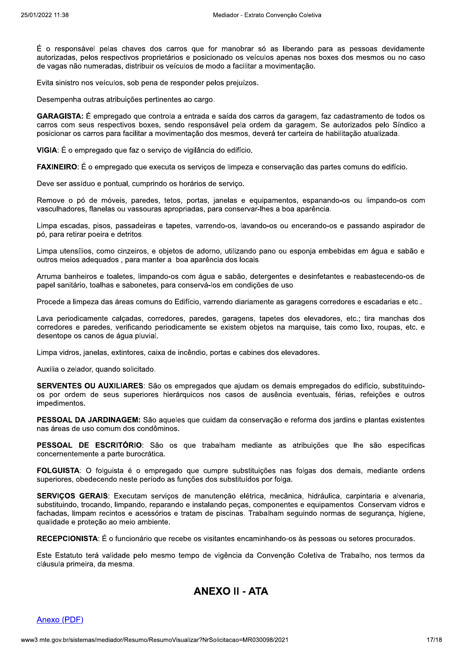É o responsável pelas chaves dos carros que for manobrar só as liberando para as pessoas devidamente autorizadas, pelos respectivos proprietários e posicionado os veículos apenas nos boxes dos mesmos ou no caso de vagas não numeradas, distribuir os veículos de modo a facilitar a movimentação.

Evita sinistro nos veículos, sob pena de responder pelos prejuízos.

Desempenha outras atribuições pertinentes ao cargo.

GARAGISTA: É empregado que controla a entrada e saída dos carros da garagem, faz cadastramento de todos os carros com seus respectivos boxes, sendo responsável pela ordem da garagem. Se autorizados pelo Síndico a posicionar os carros para facilitar a movimentação dos mesmos, deverá ter carteira de habilitação atualizada.

VIGIA: É o empregado que faz o serviço de vigilância do edifício.

FAXINEIRO: É o empregado que executa os servicos de limpeza e conservação das partes comuns do edifício.

Deve ser assíduo e pontual, cumprindo os horários de servico.

Remove o pó de móveis, paredes, tetos, portas, janelas e equipamentos, espanando-os ou limpando-os com vasculhadores, flanelas ou vassouras apropriadas, para conservar-lhes a boa aparência.

Limpa escadas, pisos, passadeiras e tapetes, varrendo-os, lavando-os ou encerando-os e passando aspirador de pó, para retirar poeira e detritos.

Limpa utensílios, como cinzeiros, e objetos de adorno, utilizando pano ou esponja embebidas em água e sabão e outros meios adequados, para manter a boa aparência dos locais.

Arruma banheiros e toaletes, limpando-os com água e sabão, detergentes e desinfetantes e reabastecendo-os de papel sanitário, toalhas e sabonetes, para conservá-los em condições de uso.

Procede a limpeza das áreas comuns do Edifício, varrendo diariamente as garagens corredores e escadarias e etc..

Lava periodicamente calcadas, corredores, paredes, garagens, tapetes dos elevadores, etc.; tira manchas dos corredores e paredes, verificando periodicamente se existem objetos na marquise, tais como lixo, roupas, etc. e desentope os canos de água pluvial.

Limpa vidros, janelas, extintores, caixa de incêndio, portas e cabines dos elevadores.

Auxilia o zelador, quando solicitado.

SERVENTES OU AUXILIARES: São os empregados que ajudam os demais empregados do edifício, substituindoos por ordem de seus superiores hierárquicos nos casos de ausência eventuais, férias, refeições e outros impedimentos.

PESSOAL DA JARDINAGEM: São aqueles que cuidam da conservação e reforma dos jardins e plantas existentes nas áreas de uso comum dos condôminos.

PESSOAL DE ESCRITÓRIO: São os que trabalham mediante as atribuições que lhe são especificas concernentemente a parte burocrática.

FOLGUISTA: O folguista é o empregado que cumpre substituições nas folgas dos demais, mediante ordens superiores, obedecendo neste período as funções dos substituídos por folga.

SERVICOS GERAIS: Executam servicos de manutenção elétrica, mecânica, hidráulica, carpintaria e alvenaria, substituindo, trocando, limpando, reparando e instalando pecas, componentes e equipamentos, Conservam vidros e fachadas, limpam recintos e acessórios e tratam de piscinas. Trabalham seguindo normas de seguranca, higiene, qualidade e proteção ao meio ambiente.

RECEPCIONISTA: É o funcionário que recebe os visitantes encaminhando-os às pessoas ou setores procurados.

Este Estatuto terá validade pelo mesmo tempo de vigência da Convenção Coletiva de Trabalho, nos termos da cláusula primeira, da mesma.

## **ANEXO II - ATA**

#### Anexo (PDF)